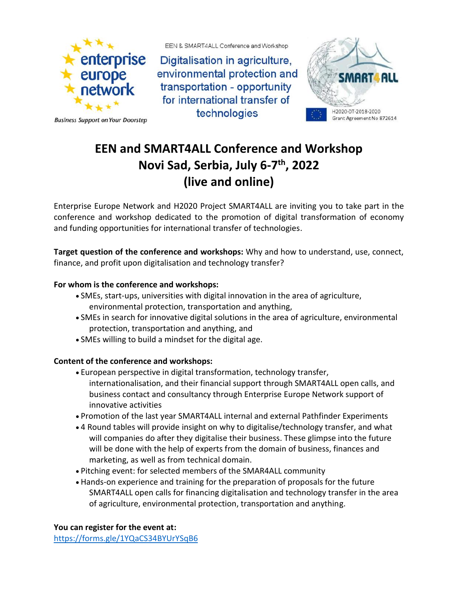

**Business Support on Your Doorstep** 

EEN & SMART4ALL Conference and Workshop

Digitalisation in agriculture, environmental protection and transportation - opportunity for international transfer of technologies



## **EEN and SMART4ALL Conference and Workshop Novi Sad, Serbia, July 6-7 th, 2022 (live and online)**

Enterprise Europe Network and H2020 Project SMART4ALL are inviting you to take part in the conference and workshop dedicated to the promotion of digital transformation of economy and funding opportunities for international transfer of technologies.

**Target question of the conference and workshops:** Why and how to understand, use, connect, finance, and profit upon digitalisation and technology transfer?

## **For whom is the conference and workshops:**

- SMEs, start-ups, universities with digital innovation in the area of agriculture, environmental protection, transportation and anything,
- SMEs in search for innovative digital solutions in the area of agriculture, environmental protection, transportation and anything, and
- SMEs willing to build a mindset for the digital age.

## **Content of the conference and workshops:**

- European perspective in digital transformation, technology transfer, internationalisation, and their financial support through SMART4ALL open calls, and business contact and consultancy through Enterprise Europe Network support of innovative activities
- Promotion of the last year SMART4ALL internal and external Pathfinder Experiments
- 4 Round tables will provide insight on why to digitalise/technology transfer, and what will companies do after they digitalise their business. These glimpse into the future will be done with the help of experts from the domain of business, finances and marketing, as well as from technical domain.
- Pitching event: for selected members of the SMAR4ALL community
- Hands-on experience and training for the preparation of proposals for the future SMART4ALL open calls for financing digitalisation and technology transfer in the area of agriculture, environmental protection, transportation and anything.

**You can register for the event at:**

<https://forms.gle/1YQaCS34BYUrYSqB6>